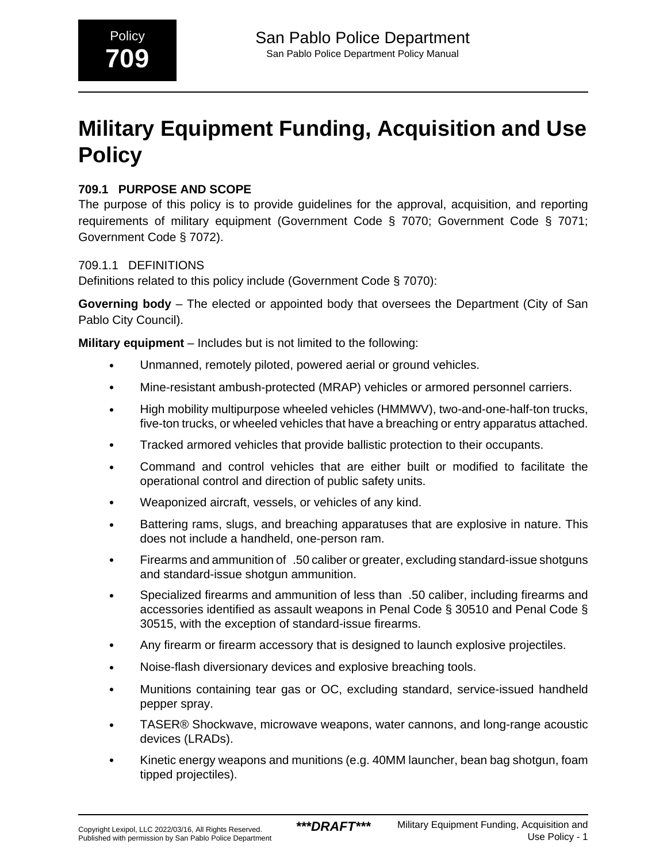# **Military Equipment Funding, Acquisition and Use Policy**

# **709.1 PURPOSE AND SCOPE**

The purpose of this policy is to provide guidelines for the approval, acquisition, and reporting requirements of military equipment (Government Code § 7070; Government Code § 7071; Government Code § 7072).

### 709.1.1 DEFINITIONS

Definitions related to this policy include (Government Code § 7070):

**Governing body** – The elected or appointed body that oversees the Department (City of San Pablo City Council).

**Military equipment** – Includes but is not limited to the following:

- Unmanned, remotely piloted, powered aerial or ground vehicles.
- Mine-resistant ambush-protected (MRAP) vehicles or armored personnel carriers.
- High mobility multipurpose wheeled vehicles (HMMWV), two-and-one-half-ton trucks, five-ton trucks, or wheeled vehicles that have a breaching or entry apparatus attached.
- Tracked armored vehicles that provide ballistic protection to their occupants.
- Command and control vehicles that are either built or modified to facilitate the operational control and direction of public safety units.
- Weaponized aircraft, vessels, or vehicles of any kind.
- Battering rams, slugs, and breaching apparatuses that are explosive in nature. This does not include a handheld, one-person ram.
- Firearms and ammunition of .50 caliber or greater, excluding standard-issue shotguns and standard-issue shotgun ammunition.
- Specialized firearms and ammunition of less than\_.50 caliber, including firearms and accessories identified as assault weapons in Penal Code § 30510 and Penal Code § 30515, with the exception of standard-issue firearms.
- Any firearm or firearm accessory that is designed to launch explosive projectiles.
- Noise-flash diversionary devices and explosive breaching tools.
- Munitions containing tear gas or OC, excluding standard, service-issued handheld pepper spray.
- TASER® Shockwave, microwave weapons, water cannons, and long-range acoustic devices (LRADs).
- Kinetic energy weapons and munitions (e.g. 40MM launcher, bean bag shotgun, foam tipped projectiles).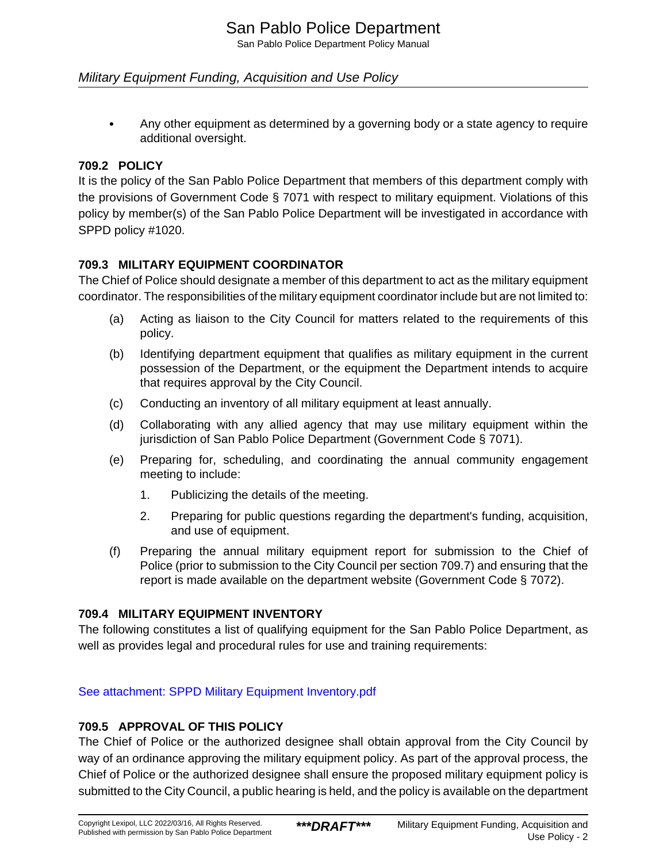San Pablo Police Department Policy Manual

#### Military Equipment Funding, Acquisition and Use Policy

• Any other equipment as determined by a governing body or a state agency to require additional oversight.

#### **709.2 POLICY**

It is the policy of the San Pablo Police Department that members of this department comply with the provisions of Government Code § 7071 with respect to military equipment. Violations of this policy by member(s) of the San Pablo Police Department will be investigated in accordance with SPPD policy #1020.

#### **709.3 MILITARY EQUIPMENT COORDINATOR**

The Chief of Police should designate a member of this department to act as the military equipment coordinator. The responsibilities of the military equipment coordinator include but are not limited to:

- (a) Acting as liaison to the City Council for matters related to the requirements of this policy.
- (b) Identifying department equipment that qualifies as military equipment in the current possession of the Department, or the equipment the Department intends to acquire that requires approval by the City Council.
- (c) Conducting an inventory of all military equipment at least annually.
- (d) Collaborating with any allied agency that may use military equipment within the jurisdiction of San Pablo Police Department (Government Code § 7071).
- (e) Preparing for, scheduling, and coordinating the annual community engagement meeting to include:
	- 1. Publicizing the details of the meeting.
	- 2. Preparing for public questions regarding the department's funding, acquisition, and use of equipment.
- (f) Preparing the annual military equipment report for submission to the Chief of Police (prior to submission to the City Council per section 709.7) and ensuring that the report is made available on the department website (Government Code § 7072).

#### **709.4 MILITARY EQUIPMENT INVENTORY**

The following constitutes a list of qualifying equipment for the San Pablo Police Department, as well as provides legal and procedural rules for use and training requirements:

[See attachment: SPPD Military Equipment Inventory.pdf](#page-5-0)

#### **709.5 APPROVAL OF THIS POLICY**

The Chief of Police or the authorized designee shall obtain approval from the City Council by way of an ordinance approving the military equipment policy. As part of the approval process, the Chief of Police or the authorized designee shall ensure the proposed military equipment policy is submitted to the City Council, a public hearing is held, and the policy is available on the department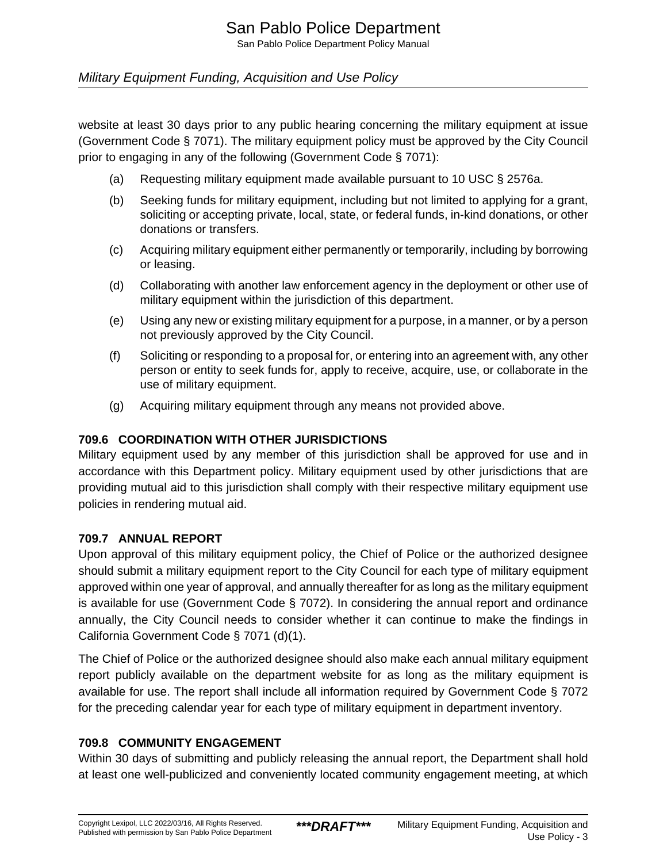#### Military Equipment Funding, Acquisition and Use Policy

website at least 30 days prior to any public hearing concerning the military equipment at issue (Government Code § 7071). The military equipment policy must be approved by the City Council prior to engaging in any of the following (Government Code § 7071):

- (a) Requesting military equipment made available pursuant to 10 USC § 2576a.
- (b) Seeking funds for military equipment, including but not limited to applying for a grant, soliciting or accepting private, local, state, or federal funds, in-kind donations, or other donations or transfers.
- (c) Acquiring military equipment either permanently or temporarily, including by borrowing or leasing.
- (d) Collaborating with another law enforcement agency in the deployment or other use of military equipment within the jurisdiction of this department.
- (e) Using any new or existing military equipment for a purpose, in a manner, or by a person not previously approved by the City Council.
- (f) Soliciting or responding to a proposal for, or entering into an agreement with, any other person or entity to seek funds for, apply to receive, acquire, use, or collaborate in the use of military equipment.
- (g) Acquiring military equipment through any means not provided above.

#### **709.6 COORDINATION WITH OTHER JURISDICTIONS**

Military equipment used by any member of this jurisdiction shall be approved for use and in accordance with this Department policy. Military equipment used by other jurisdictions that are providing mutual aid to this jurisdiction shall comply with their respective military equipment use policies in rendering mutual aid.

#### **709.7 ANNUAL REPORT**

Upon approval of this military equipment policy, the Chief of Police or the authorized designee should submit a military equipment report to the City Council for each type of military equipment approved within one year of approval, and annually thereafter for as long as the military equipment is available for use (Government Code § 7072). In considering the annual report and ordinance annually, the City Council needs to consider whether it can continue to make the findings in California Government Code § 7071 (d)(1).

The Chief of Police or the authorized designee should also make each annual military equipment report publicly available on the department website for as long as the military equipment is available for use. The report shall include all information required by Government Code § 7072 for the preceding calendar year for each type of military equipment in department inventory.

#### **709.8 COMMUNITY ENGAGEMENT**

Within 30 days of submitting and publicly releasing the annual report, the Department shall hold at least one well-publicized and conveniently located community engagement meeting, at which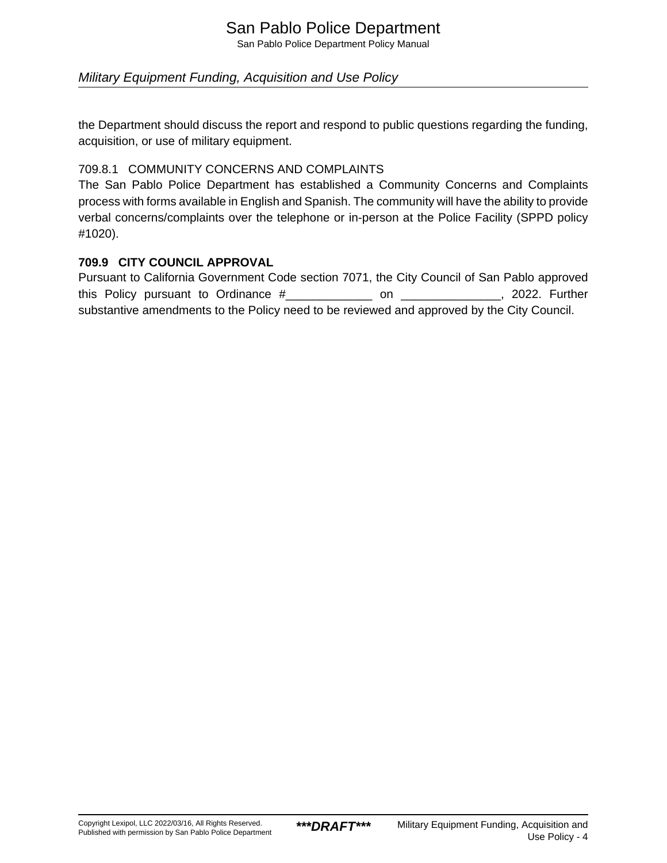# San Pablo Police Department

San Pablo Police Department Policy Manual

#### Military Equipment Funding, Acquisition and Use Policy

the Department should discuss the report and respond to public questions regarding the funding, acquisition, or use of military equipment.

#### 709.8.1 COMMUNITY CONCERNS AND COMPLAINTS

The San Pablo Police Department has established a Community Concerns and Complaints process with forms available in English and Spanish. The community will have the ability to provide verbal concerns/complaints over the telephone or in-person at the Police Facility (SPPD policy #1020).

#### **709.9 CITY COUNCIL APPROVAL**

Pursuant to California Government Code section 7071, the City Council of San Pablo approved this Policy pursuant to Ordinance # The Condition on The Reflexion on the 2022. Further substantive amendments to the Policy need to be reviewed and approved by the City Council.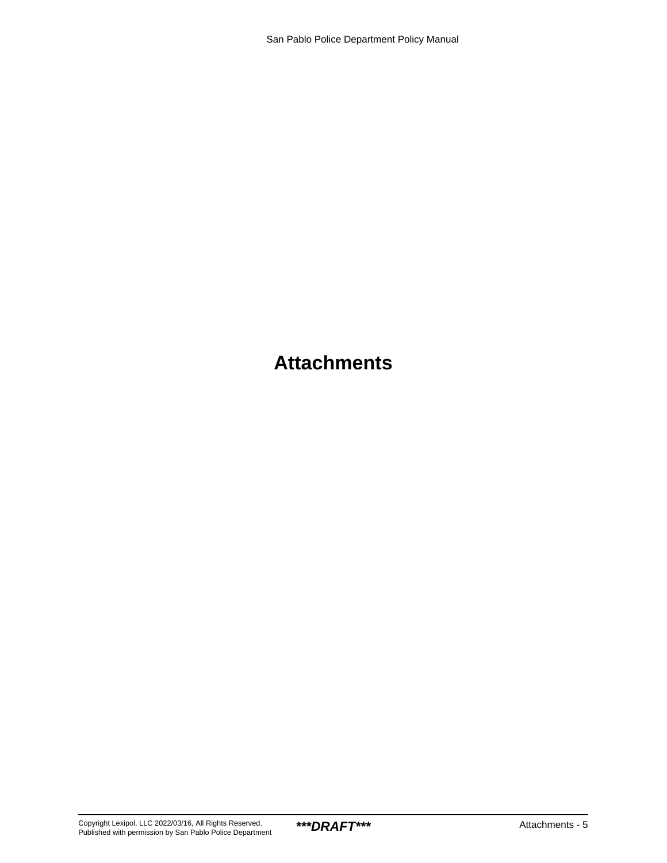# **Attachments**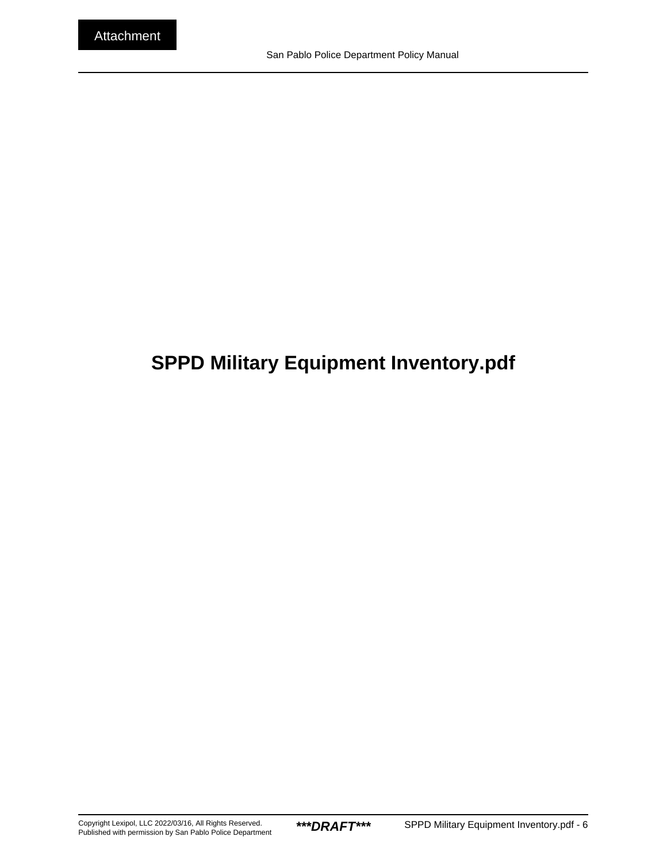# <span id="page-5-0"></span>**SPPD Military Equipment Inventory.pdf**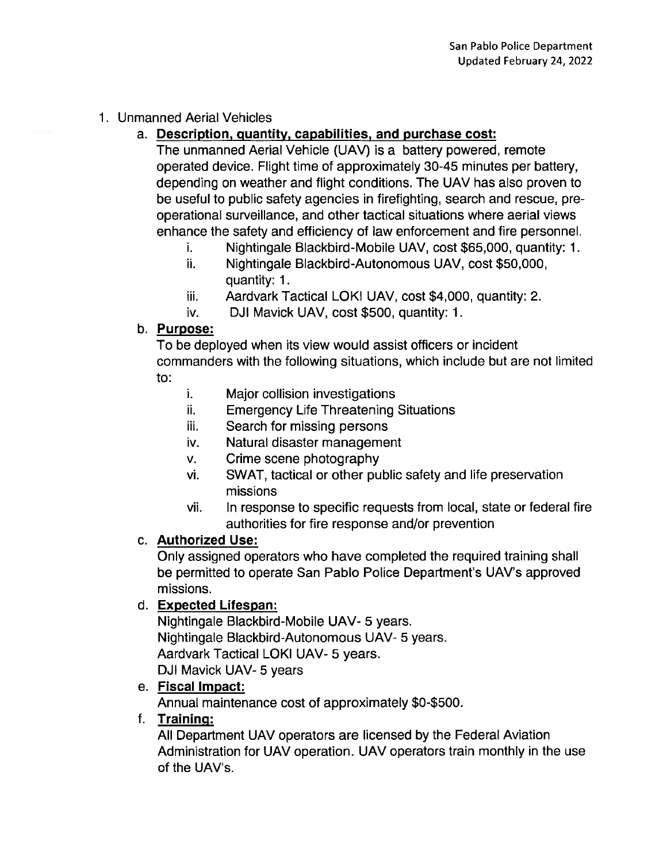### 1. Unmanned Aerial Vehicles

# a. Description, quantity, capabilities, and purchase cost:

The unmanned Aerial Vehicle (UAV) is a battery powered, remote operated device. Flight time of approximately 30-45 minutes per battery, depending on weather and flight conditions. The UAV has also proven to be useful to public safety agencies in firefighting, search and rescue, preoperational surveillance, and other tactical situations where aerial views enhance the safety and efficiency of law enforcement and fire personnel.

- Nightingale Blackbird-Mobile UAV, cost \$65,000, quantity: 1. i.
- ii. Nightingale Blackbird-Autonomous UAV, cost \$50,000, quantity: 1.
- iii. Aardvark Tactical LOKI UAV, cost \$4,000, quantity: 2.
- iv. DJI Mavick UAV, cost \$500, quantity: 1.

#### b. Purpose:

To be deployed when its view would assist officers or incident commanders with the following situations, which include but are not limited to:

- i. Major collision investigations
- ii. **Emergency Life Threatening Situations**
- iii. Search for missing persons
- Natural disaster management iv.
- Crime scene photography V.
- SWAT, tactical or other public safety and life preservation vi. missions
- vii. In response to specific requests from local, state or federal fire authorities for fire response and/or prevention

### c. Authorized Use:

Only assigned operators who have completed the required training shall be permitted to operate San Pablo Police Department's UAV's approved missions.

### d. Expected Lifespan:

Nightingale Blackbird-Mobile UAV- 5 years. Nightingale Blackbird-Autonomous UAV- 5 years. Aardvark Tactical LOKI UAV- 5 years. DJI Mavick UAV- 5 years

# e. Fiscal Impact:

Annual maintenance cost of approximately \$0-\$500.

### f. Training:

All Department UAV operators are licensed by the Federal Aviation Administration for UAV operation. UAV operators train monthly in the use of the UAV's.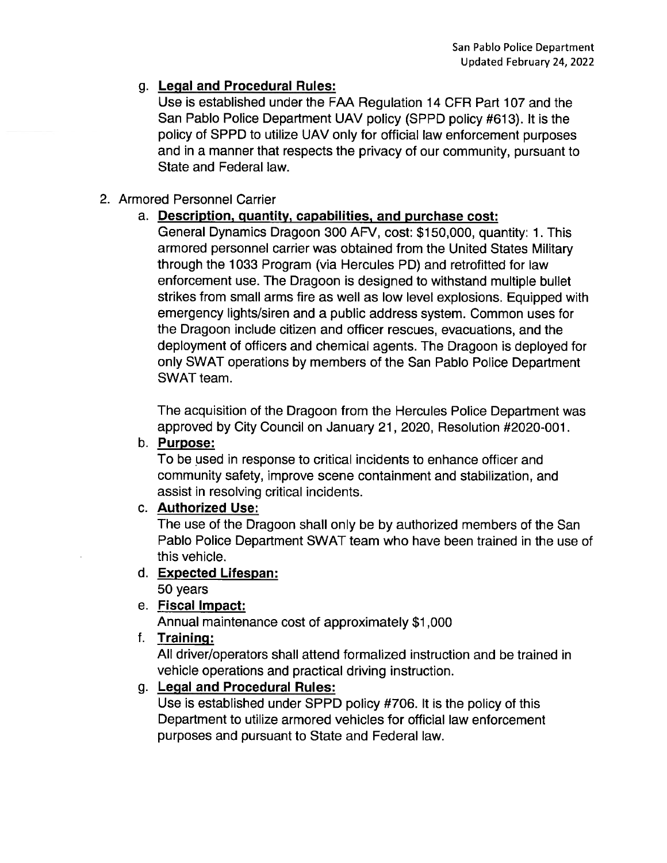# g. Legal and Procedural Rules:

Use is established under the FAA Regulation 14 CFR Part 107 and the San Pablo Police Department UAV policy (SPPD policy #613). It is the policy of SPPD to utilize UAV only for official law enforcement purposes and in a manner that respects the privacy of our community, pursuant to State and Federal law.

# 2. Armored Personnel Carrier

# a. Description, quantity, capabilities, and purchase cost:

General Dynamics Dragoon 300 AFV, cost: \$150,000, quantity: 1. This armored personnel carrier was obtained from the United States Military through the 1033 Program (via Hercules PD) and retrofitted for law enforcement use. The Dragoon is designed to withstand multiple bullet strikes from small arms fire as well as low level explosions. Equipped with emergency lights/siren and a public address system. Common uses for the Dragoon include citizen and officer rescues, evacuations, and the deployment of officers and chemical agents. The Dragoon is deployed for only SWAT operations by members of the San Pablo Police Department SWAT team.

The acquisition of the Dragoon from the Hercules Police Department was approved by City Council on January 21, 2020, Resolution #2020-001.

### b. Purpose:

To be used in response to critical incidents to enhance officer and community safety, improve scene containment and stabilization, and assist in resolving critical incidents.

### c. Authorized Use:

The use of the Dragoon shall only be by authorized members of the San Pablo Police Department SWAT team who have been trained in the use of this vehicle.

### d. Expected Lifespan:

50 years

# e. Fiscal Impact:

Annual maintenance cost of approximately \$1,000

# f. Training:

All driver/operators shall attend formalized instruction and be trained in vehicle operations and practical driving instruction.

# g. Legal and Procedural Rules:

Use is established under SPPD policy #706. It is the policy of this Department to utilize armored vehicles for official law enforcement purposes and pursuant to State and Federal law.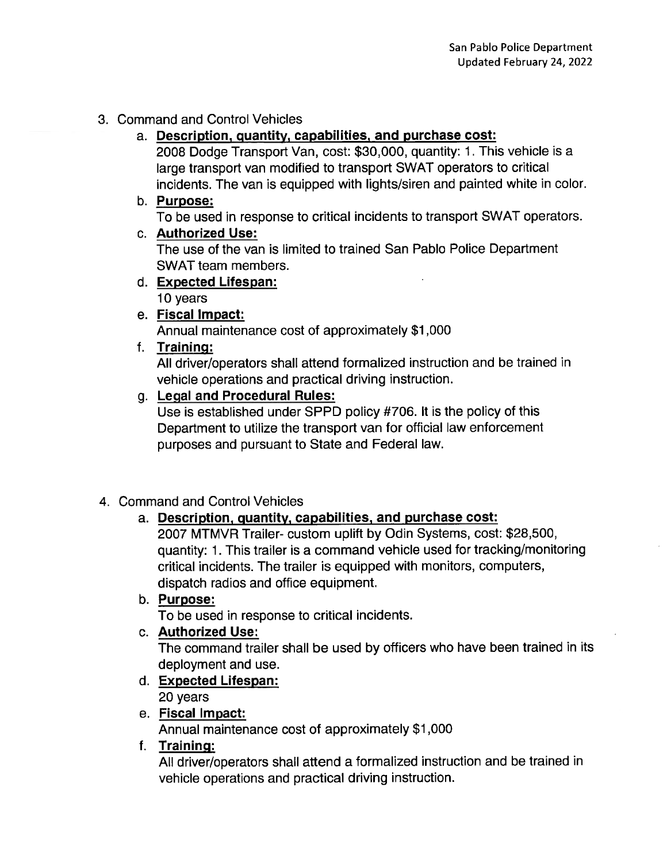### 3. Command and Control Vehicles

#### a. Description, quantity, capabilities, and purchase cost:

2008 Dodge Transport Van, cost: \$30,000, quantity: 1. This vehicle is a large transport van modified to transport SWAT operators to critical incidents. The van is equipped with lights/siren and painted white in color.

#### b. Purpose:

To be used in response to critical incidents to transport SWAT operators.

#### c. Authorized Use:

The use of the van is limited to trained San Pablo Police Department SWAT team members.

### d. Expected Lifespan:

10 years

### e. Fiscal Impact:

Annual maintenance cost of approximately \$1,000

### f. Training:

All driver/operators shall attend formalized instruction and be trained in vehicle operations and practical driving instruction.

### g. Legal and Procedural Rules:

Use is established under SPPD policy #706. It is the policy of this Department to utilize the transport van for official law enforcement purposes and pursuant to State and Federal law.

### 4. Command and Control Vehicles

### a. Description, quantity, capabilities, and purchase cost:

2007 MTMVR Trailer- custom uplift by Odin Systems, cost: \$28,500, quantity: 1. This trailer is a command vehicle used for tracking/monitoring critical incidents. The trailer is equipped with monitors, computers, dispatch radios and office equipment.

#### b. Purpose:

To be used in response to critical incidents.

#### c. Authorized Use:

The command trailer shall be used by officers who have been trained in its deployment and use.

# d. Expected Lifespan:

20 years

### e. Fiscal Impact:

Annual maintenance cost of approximately \$1,000

#### f. Training:

All driver/operators shall attend a formalized instruction and be trained in vehicle operations and practical driving instruction.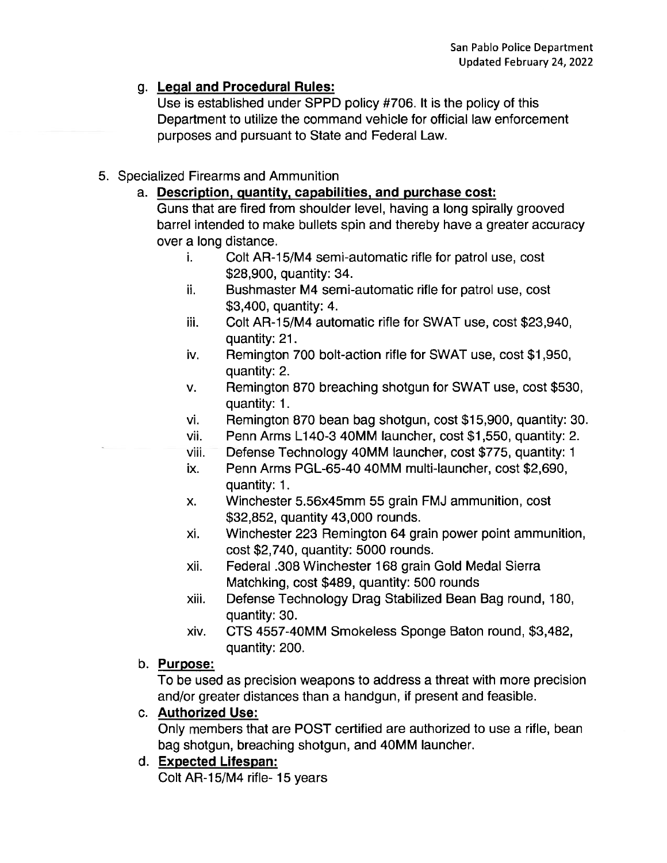### g. Legal and Procedural Rules:

Use is established under SPPD policy #706. It is the policy of this Department to utilize the command vehicle for official law enforcement purposes and pursuant to State and Federal Law.

- 5. Specialized Firearms and Ammunition
	- a. Description, quantity, capabilities, and purchase cost:

Guns that are fired from shoulder level, having a long spirally grooved barrel intended to make bullets spin and thereby have a greater accuracy over a long distance.

- Colt AR-15/M4 semi-automatic rifle for patrol use, cost i. \$28,900, quantity: 34.
- Bushmaster M4 semi-automatic rifle for patrol use, cost ii. \$3,400, quantity: 4.
- Colt AR-15/M4 automatic rifle for SWAT use, cost \$23,940, iii. quantity: 21.
- Remington 700 bolt-action rifle for SWAT use, cost \$1,950, iv. quantity: 2.
- Remington 870 breaching shotgun for SWAT use, cost \$530, V. quantity: 1.
- Remington 870 bean bag shotgun, cost \$15,900, quantity: 30. vi.
- Penn Arms L140-3 40MM launcher, cost \$1,550, quantity: 2. vii.
- Defense Technology 40MM launcher, cost \$775, quantity: 1 viii.
- Penn Arms PGL-65-40 40MM multi-launcher, cost \$2.690. ix. quantity: 1.
- Winchester 5.56x45mm 55 grain FMJ ammunition, cost Х. \$32,852, quantity 43,000 rounds.
- xi. Winchester 223 Remington 64 grain power point ammunition, cost \$2,740, quantity: 5000 rounds.
- Federal .308 Winchester 168 grain Gold Medal Sierra xii. Matchking, cost \$489, quantity: 500 rounds
- Defense Technology Drag Stabilized Bean Bag round, 180, xiii. quantity: 30.
- CTS 4557-40MM Smokeless Sponge Baton round, \$3,482, xiv. quantity: 200.

### b. Purpose:

To be used as precision weapons to address a threat with more precision and/or greater distances than a handgun, if present and feasible.

### c. Authorized Use:

Only members that are POST certified are authorized to use a rifle, bean bag shotgun, breaching shotgun, and 40MM launcher.

### d. Expected Lifespan:

Colt AR-15/M4 rifle- 15 years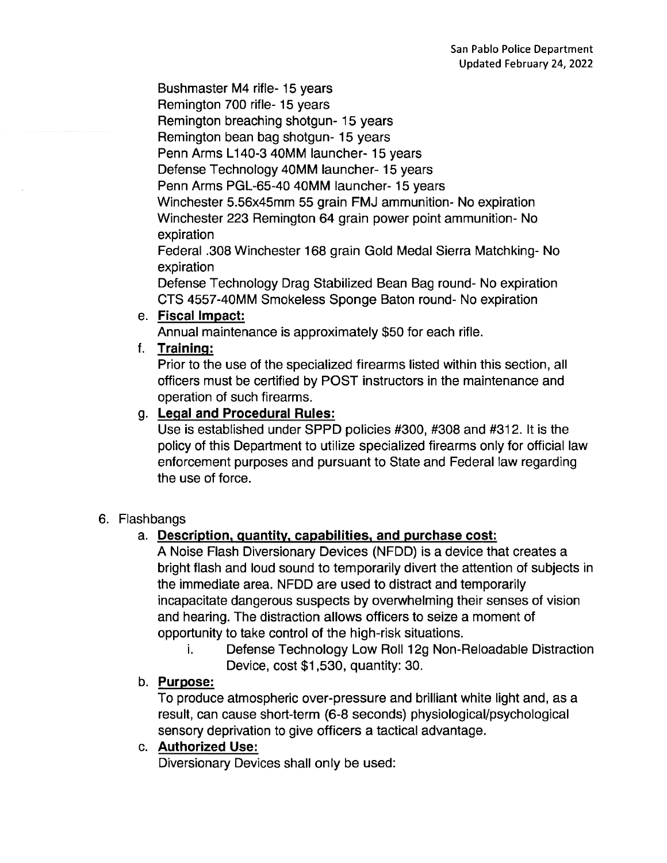Bushmaster M4 rifle-15 years

Remington 700 rifle- 15 years

Remington breaching shotgun-15 years

Remington bean bag shotgun-15 years

Penn Arms L140-3 40MM launcher- 15 years

Defense Technology 40MM launcher- 15 years

Penn Arms PGL-65-40 40MM launcher- 15 years

Winchester 5.56x45mm 55 grain FMJ ammunition- No expiration Winchester 223 Remington 64 grain power point ammunition-No expiration

Federal .308 Winchester 168 grain Gold Medal Sierra Matchking-No expiration

Defense Technology Drag Stabilized Bean Bag round-No expiration CTS 4557-40MM Smokeless Sponge Baton round- No expiration

#### e. Fiscal Impact:

Annual maintenance is approximately \$50 for each rifle.

#### f. Training:

Prior to the use of the specialized firearms listed within this section, all officers must be certified by POST instructors in the maintenance and operation of such firearms.

#### g. Legal and Procedural Rules:

Use is established under SPPD policies #300, #308 and #312. It is the policy of this Department to utilize specialized firearms only for official law enforcement purposes and pursuant to State and Federal law regarding the use of force.

#### 6. Flashbangs

### a. Description, quantity, capabilities, and purchase cost:

A Noise Flash Diversionary Devices (NFDD) is a device that creates a bright flash and loud sound to temporarily divert the attention of subjects in the immediate area. NFDD are used to distract and temporarily incapacitate dangerous suspects by overwhelming their senses of vision and hearing. The distraction allows officers to seize a moment of opportunity to take control of the high-risk situations.

Defense Technology Low Roll 12g Non-Reloadable Distraction i. Device, cost \$1,530, quantity: 30.

#### b. Purpose:

To produce atmospheric over-pressure and brilliant white light and, as a result, can cause short-term (6-8 seconds) physiological/psychological sensory deprivation to give officers a tactical advantage.

### c. Authorized Use:

Diversionary Devices shall only be used: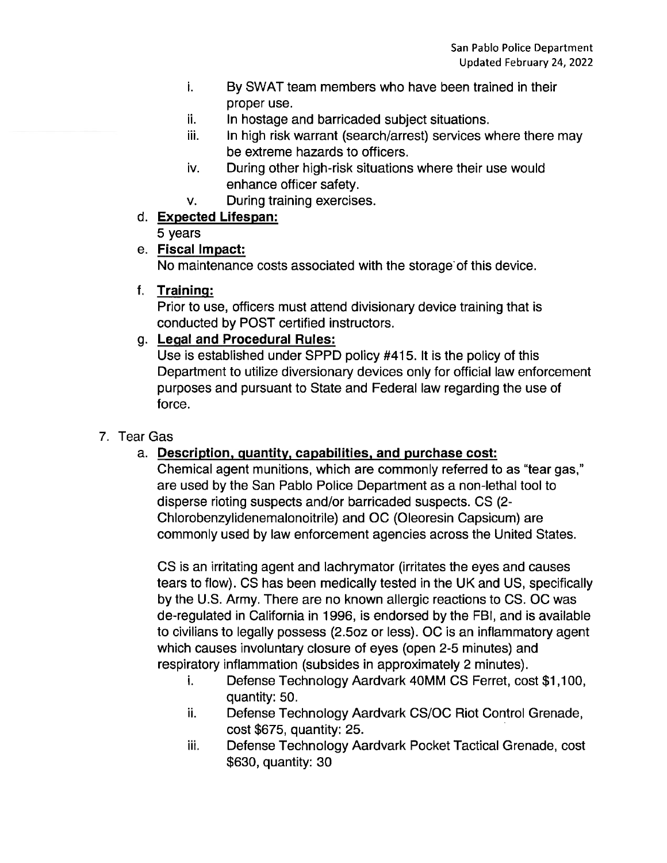- i. By SWAT team members who have been trained in their proper use.
- ii. In hostage and barricaded subject situations.
- iii. In high risk warrant (search/arrest) services where there may be extreme hazards to officers.
- iv. During other high-risk situations where their use would enhance officer safety.
- During training exercises. V.
- d. Expected Lifespan:

5 years

e. Fiscal Impact:

No maintenance costs associated with the storage of this device.

f. Training:

Prior to use, officers must attend divisionary device training that is conducted by POST certified instructors.

g. Legal and Procedural Rules:

Use is established under SPPD policy #415. It is the policy of this Department to utilize diversionary devices only for official law enforcement purposes and pursuant to State and Federal law regarding the use of force.

# 7. Tear Gas

# a. Description, quantity, capabilities, and purchase cost:

Chemical agent munitions, which are commonly referred to as "tear gas," are used by the San Pablo Police Department as a non-lethal tool to disperse rioting suspects and/or barricaded suspects. CS (2-Chlorobenzylidenemalonoitrile) and OC (Oleoresin Capsicum) are commonly used by law enforcement agencies across the United States.

CS is an irritating agent and lachrymator (irritates the eyes and causes tears to flow). CS has been medically tested in the UK and US, specifically by the U.S. Army. There are no known allergic reactions to CS. OC was de-regulated in California in 1996, is endorsed by the FBI, and is available to civilians to legally possess (2.5oz or less). OC is an inflammatory agent which causes involuntary closure of eyes (open 2-5 minutes) and respiratory inflammation (subsides in approximately 2 minutes).

- Defense Technology Aardvark 40MM CS Ferret, cost \$1,100, i. quantity: 50.
- ij. Defense Technology Aardvark CS/OC Riot Control Grenade, cost \$675, quantity: 25.
- Defense Technology Aardvark Pocket Tactical Grenade, cost iii. \$630, quantity: 30